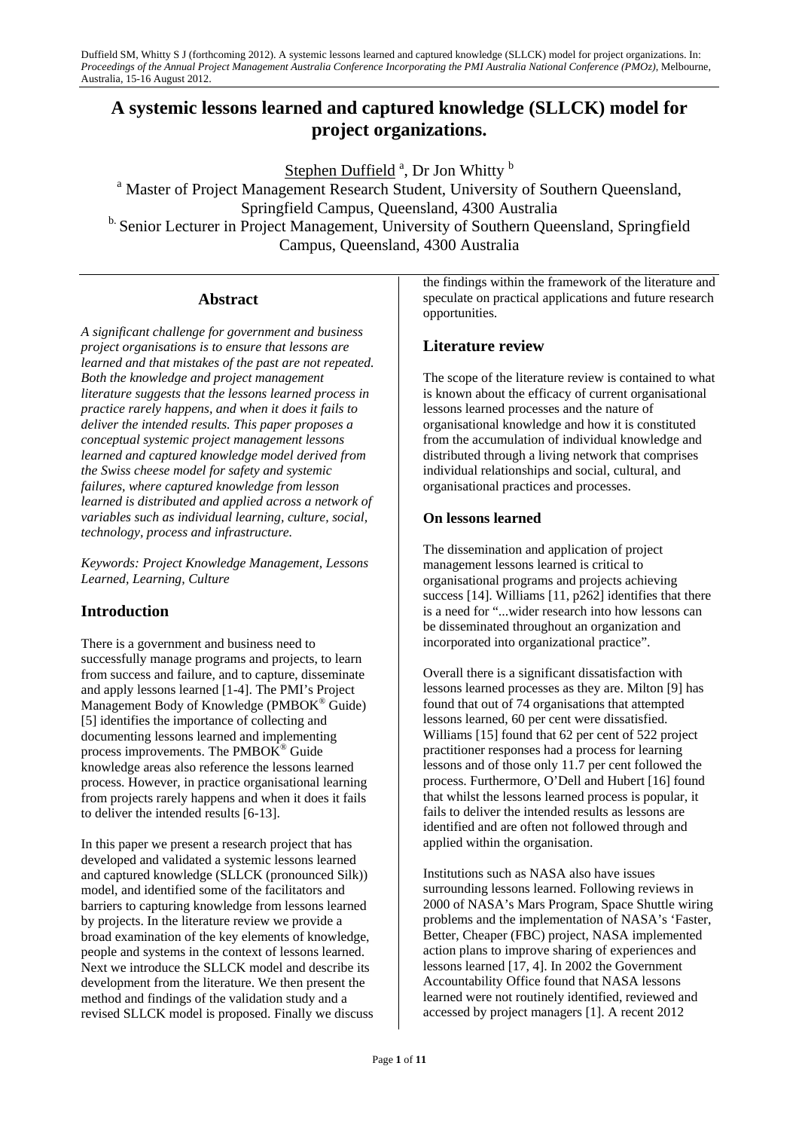# **A systemic lessons learned and captured knowledge (SLLCK) model for project organizations.**

Stephen Duffield<sup>a</sup>, Dr Jon Whitty<sup>b</sup>

<sup>a</sup> Master of Project Management Research Student, University of Southern Queensland, Springfield Campus, Queensland, 4300 Australia <sup>b.</sup> Senior Lecturer in Project Management, University of Southern Queensland, Springfield Campus, Queensland, 4300 Australia

# **Abstract**

*A significant challenge for government and business project organisations is to ensure that lessons are learned and that mistakes of the past are not repeated. Both the knowledge and project management literature suggests that the lessons learned process in practice rarely happens, and when it does it fails to deliver the intended results. This paper proposes a conceptual systemic project management lessons learned and captured knowledge model derived from the Swiss cheese model for safety and systemic failures, where captured knowledge from lesson learned is distributed and applied across a network of variables such as individual learning, culture, social, technology, process and infrastructure.* 

*Keywords: Project Knowledge Management, Lessons Learned, Learning, Culture* 

# **Introduction**

There is a government and business need to successfully manage programs and projects, to learn from success and failure, and to capture, disseminate and apply lessons learned [1-4]. The PMI's Project Management Body of Knowledge (PMBOK® Guide) [5] identifies the importance of collecting and documenting lessons learned and implementing process improvements. The PMBO $K^{\circledast}$  Guide knowledge areas also reference the lessons learned process. However, in practice organisational learning from projects rarely happens and when it does it fails to deliver the intended results [6-13].

In this paper we present a research project that has developed and validated a systemic lessons learned and captured knowledge (SLLCK (pronounced Silk)) model, and identified some of the facilitators and barriers to capturing knowledge from lessons learned by projects. In the literature review we provide a broad examination of the key elements of knowledge, people and systems in the context of lessons learned. Next we introduce the SLLCK model and describe its development from the literature. We then present the method and findings of the validation study and a revised SLLCK model is proposed. Finally we discuss the findings within the framework of the literature and speculate on practical applications and future research opportunities.

# **Literature review**

The scope of the literature review is contained to what is known about the efficacy of current organisational lessons learned processes and the nature of organisational knowledge and how it is constituted from the accumulation of individual knowledge and distributed through a living network that comprises individual relationships and social, cultural, and organisational practices and processes.

### **On lessons learned**

The dissemination and application of project management lessons learned is critical to organisational programs and projects achieving success [14]. Williams [11, p262] identifies that there is a need for "...wider research into how lessons can be disseminated throughout an organization and incorporated into organizational practice".

Overall there is a significant dissatisfaction with lessons learned processes as they are. Milton [9] has found that out of 74 organisations that attempted lessons learned, 60 per cent were dissatisfied. Williams [15] found that 62 per cent of 522 project practitioner responses had a process for learning lessons and of those only 11.7 per cent followed the process. Furthermore, O'Dell and Hubert [16] found that whilst the lessons learned process is popular, it fails to deliver the intended results as lessons are identified and are often not followed through and applied within the organisation.

Institutions such as NASA also have issues surrounding lessons learned. Following reviews in 2000 of NASA's Mars Program, Space Shuttle wiring problems and the implementation of NASA's 'Faster, Better, Cheaper (FBC) project, NASA implemented action plans to improve sharing of experiences and lessons learned [17, 4]. In 2002 the Government Accountability Office found that NASA lessons learned were not routinely identified, reviewed and accessed by project managers [1]. A recent 2012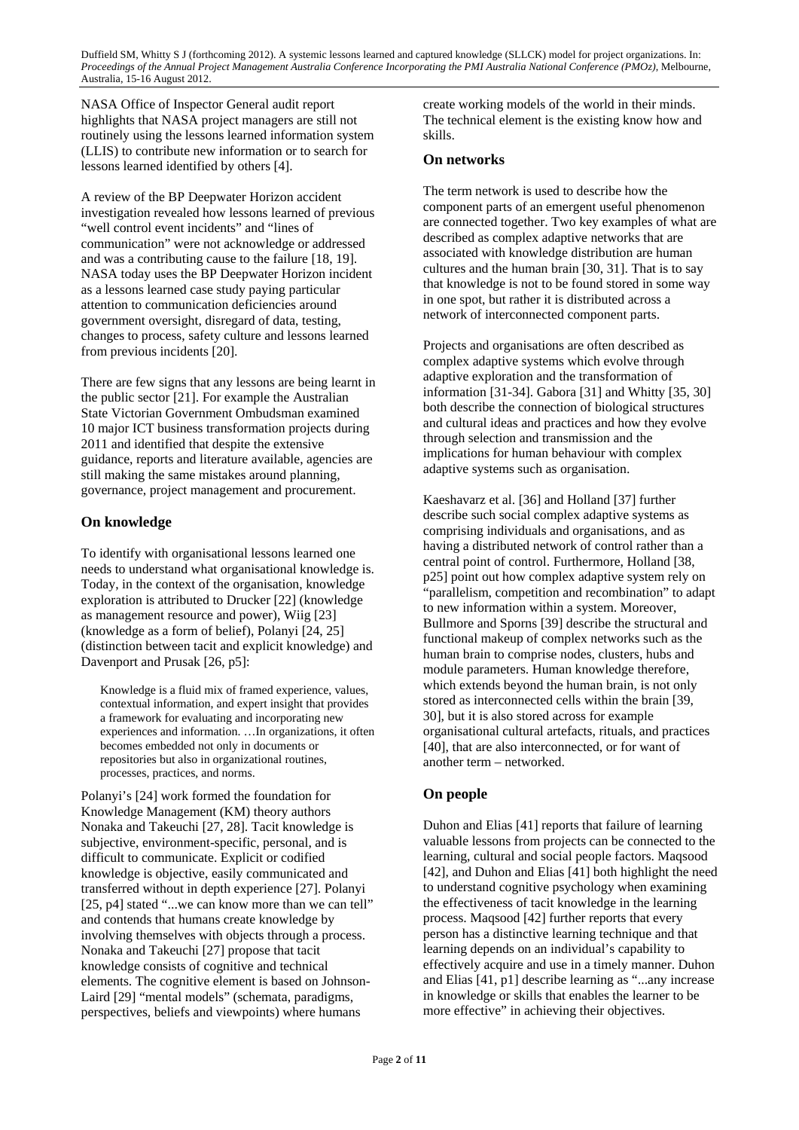NASA Office of Inspector General audit report highlights that NASA project managers are still not routinely using the lessons learned information system (LLIS) to contribute new information or to search for lessons learned identified by others [4].

A review of the BP Deepwater Horizon accident investigation revealed how lessons learned of previous "well control event incidents" and "lines of communication" were not acknowledge or addressed and was a contributing cause to the failure [18, 19]. NASA today uses the BP Deepwater Horizon incident as a lessons learned case study paying particular attention to communication deficiencies around government oversight, disregard of data, testing, changes to process, safety culture and lessons learned from previous incidents [20].

There are few signs that any lessons are being learnt in the public sector [21]. For example the Australian State Victorian Government Ombudsman examined 10 major ICT business transformation projects during 2011 and identified that despite the extensive guidance, reports and literature available, agencies are still making the same mistakes around planning, governance, project management and procurement.

### **On knowledge**

To identify with organisational lessons learned one needs to understand what organisational knowledge is. Today, in the context of the organisation, knowledge exploration is attributed to Drucker [22] (knowledge as management resource and power), Wiig [23] (knowledge as a form of belief), Polanyi [24, 25] (distinction between tacit and explicit knowledge) and Davenport and Prusak [26, p5]:

Knowledge is a fluid mix of framed experience, values, contextual information, and expert insight that provides a framework for evaluating and incorporating new experiences and information. …In organizations, it often becomes embedded not only in documents or repositories but also in organizational routines, processes, practices, and norms.

Polanyi's [24] work formed the foundation for Knowledge Management (KM) theory authors Nonaka and Takeuchi [27, 28]. Tacit knowledge is subjective, environment-specific, personal, and is difficult to communicate. Explicit or codified knowledge is objective, easily communicated and transferred without in depth experience [27]. Polanyi [25, p4] stated "...we can know more than we can tell" and contends that humans create knowledge by involving themselves with objects through a process. Nonaka and Takeuchi [27] propose that tacit knowledge consists of cognitive and technical elements. The cognitive element is based on Johnson-Laird [29] "mental models" (schemata, paradigms, perspectives, beliefs and viewpoints) where humans

create working models of the world in their minds. The technical element is the existing know how and skills.

#### **On networks**

The term network is used to describe how the component parts of an emergent useful phenomenon are connected together. Two key examples of what are described as complex adaptive networks that are associated with knowledge distribution are human cultures and the human brain [30, 31]. That is to say that knowledge is not to be found stored in some way in one spot, but rather it is distributed across a network of interconnected component parts.

Projects and organisations are often described as complex adaptive systems which evolve through adaptive exploration and the transformation of information [31-34]. Gabora [31] and Whitty [35, 30] both describe the connection of biological structures and cultural ideas and practices and how they evolve through selection and transmission and the implications for human behaviour with complex adaptive systems such as organisation.

Kaeshavarz et al. [36] and Holland [37] further describe such social complex adaptive systems as comprising individuals and organisations, and as having a distributed network of control rather than a central point of control. Furthermore, Holland [38, p25] point out how complex adaptive system rely on "parallelism, competition and recombination" to adapt to new information within a system. Moreover, Bullmore and Sporns [39] describe the structural and functional makeup of complex networks such as the human brain to comprise nodes, clusters, hubs and module parameters. Human knowledge therefore, which extends beyond the human brain, is not only stored as interconnected cells within the brain [39, 30], but it is also stored across for example organisational cultural artefacts, rituals, and practices [40], that are also interconnected, or for want of another term – networked.

### **On people**

Duhon and Elias [41] reports that failure of learning valuable lessons from projects can be connected to the learning, cultural and social people factors. Maqsood [42], and Duhon and Elias [41] both highlight the need to understand cognitive psychology when examining the effectiveness of tacit knowledge in the learning process. Maqsood [42] further reports that every person has a distinctive learning technique and that learning depends on an individual's capability to effectively acquire and use in a timely manner. Duhon and Elias [41, p1] describe learning as "...any increase in knowledge or skills that enables the learner to be more effective" in achieving their objectives.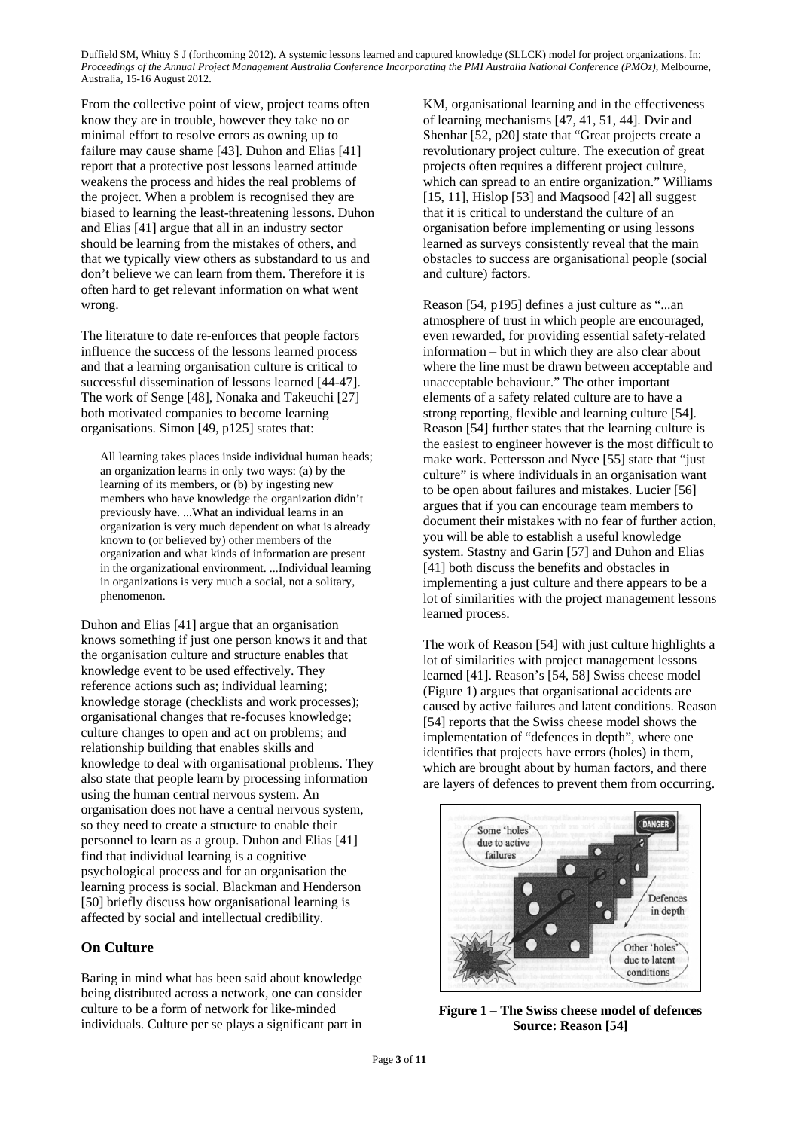From the collective point of view, project teams often know they are in trouble, however they take no or minimal effort to resolve errors as owning up to failure may cause shame [43]. Duhon and Elias [41] report that a protective post lessons learned attitude weakens the process and hides the real problems of the project. When a problem is recognised they are biased to learning the least-threatening lessons. Duhon and Elias [41] argue that all in an industry sector should be learning from the mistakes of others, and that we typically view others as substandard to us and don't believe we can learn from them. Therefore it is often hard to get relevant information on what went wrong.

The literature to date re-enforces that people factors influence the success of the lessons learned process and that a learning organisation culture is critical to successful dissemination of lessons learned [44-47]. The work of Senge [48], Nonaka and Takeuchi [27] both motivated companies to become learning organisations. Simon [49, p125] states that:

All learning takes places inside individual human heads; an organization learns in only two ways: (a) by the learning of its members, or (b) by ingesting new members who have knowledge the organization didn't previously have. ...What an individual learns in an organization is very much dependent on what is already known to (or believed by) other members of the organization and what kinds of information are present in the organizational environment. ...Individual learning in organizations is very much a social, not a solitary, phenomenon.

Duhon and Elias [41] argue that an organisation knows something if just one person knows it and that the organisation culture and structure enables that knowledge event to be used effectively. They reference actions such as; individual learning; knowledge storage (checklists and work processes); organisational changes that re-focuses knowledge; culture changes to open and act on problems; and relationship building that enables skills and knowledge to deal with organisational problems. They also state that people learn by processing information using the human central nervous system. An organisation does not have a central nervous system, so they need to create a structure to enable their personnel to learn as a group. Duhon and Elias [41] find that individual learning is a cognitive psychological process and for an organisation the learning process is social. Blackman and Henderson [50] briefly discuss how organisational learning is affected by social and intellectual credibility.

### **On Culture**

Baring in mind what has been said about knowledge being distributed across a network, one can consider culture to be a form of network for like-minded individuals. Culture per se plays a significant part in

KM, organisational learning and in the effectiveness of learning mechanisms [47, 41, 51, 44]. Dvir and Shenhar [52, p20] state that "Great projects create a revolutionary project culture. The execution of great projects often requires a different project culture, which can spread to an entire organization." Williams [15, 11], Hislop [53] and Maqsood [42] all suggest that it is critical to understand the culture of an organisation before implementing or using lessons learned as surveys consistently reveal that the main obstacles to success are organisational people (social and culture) factors.

Reason [54, p195] defines a just culture as "...an atmosphere of trust in which people are encouraged, even rewarded, for providing essential safety-related information – but in which they are also clear about where the line must be drawn between acceptable and unacceptable behaviour." The other important elements of a safety related culture are to have a strong reporting, flexible and learning culture [54]. Reason [54] further states that the learning culture is the easiest to engineer however is the most difficult to make work. Pettersson and Nyce [55] state that "just culture" is where individuals in an organisation want to be open about failures and mistakes. Lucier [56] argues that if you can encourage team members to document their mistakes with no fear of further action, you will be able to establish a useful knowledge system. Stastny and Garin [57] and Duhon and Elias [41] both discuss the benefits and obstacles in implementing a just culture and there appears to be a lot of similarities with the project management lessons learned process.

The work of Reason [54] with just culture highlights a lot of similarities with project management lessons learned [41]. Reason's [54, 58] Swiss cheese model (Figure 1) argues that organisational accidents are caused by active failures and latent conditions. Reason [54] reports that the Swiss cheese model shows the implementation of "defences in depth", where one identifies that projects have errors (holes) in them, which are brought about by human factors, and there are layers of defences to prevent them from occurring.



**Figure 1 – The Swiss cheese model of defences Source: Reason [54]**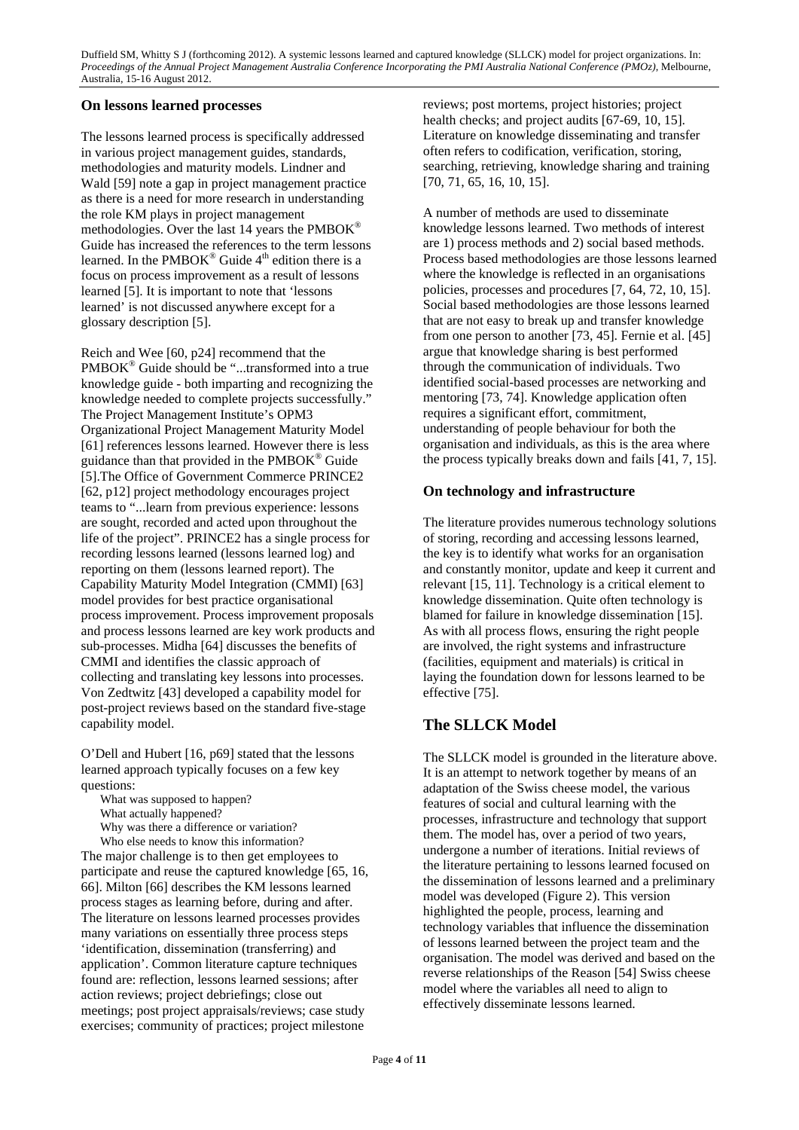### **On lessons learned processes**

The lessons learned process is specifically addressed in various project management guides, standards, methodologies and maturity models. Lindner and Wald [59] note a gap in project management practice as there is a need for more research in understanding the role KM plays in project management methodologies. Over the last 14 years the PMBOK® Guide has increased the references to the term lessons learned. In the PMBOK<sup>®</sup> Guide  $4<sup>th</sup>$  edition there is a focus on process improvement as a result of lessons learned [5]. It is important to note that 'lessons learned' is not discussed anywhere except for a glossary description [5].

Reich and Wee [60, p24] recommend that the PMBOK<sup>®</sup> Guide should be "...transformed into a true knowledge guide - both imparting and recognizing the knowledge needed to complete projects successfully." The Project Management Institute's OPM3 Organizational Project Management Maturity Model [61] references lessons learned. However there is less guidance than that provided in the PMBOK® Guide [5].The Office of Government Commerce PRINCE2 [62, p12] project methodology encourages project teams to "...learn from previous experience: lessons are sought, recorded and acted upon throughout the life of the project". PRINCE2 has a single process for recording lessons learned (lessons learned log) and reporting on them (lessons learned report). The Capability Maturity Model Integration (CMMI) [63] model provides for best practice organisational process improvement. Process improvement proposals and process lessons learned are key work products and sub-processes. Midha [64] discusses the benefits of CMMI and identifies the classic approach of collecting and translating key lessons into processes. Von Zedtwitz [43] developed a capability model for post-project reviews based on the standard five-stage capability model.

O'Dell and Hubert [16, p69] stated that the lessons learned approach typically focuses on a few key questions:

What was supposed to happen?

What actually happened?

Why was there a difference or variation?

Who else needs to know this information? The major challenge is to then get employees to participate and reuse the captured knowledge [65, 16, 66]. Milton [66] describes the KM lessons learned process stages as learning before, during and after. The literature on lessons learned processes provides many variations on essentially three process steps 'identification, dissemination (transferring) and application'. Common literature capture techniques found are: reflection, lessons learned sessions; after action reviews; project debriefings; close out meetings; post project appraisals/reviews; case study exercises; community of practices; project milestone

reviews; post mortems, project histories; project health checks; and project audits [67-69, 10, 15]. Literature on knowledge disseminating and transfer often refers to codification, verification, storing, searching, retrieving, knowledge sharing and training [70, 71, 65, 16, 10, 15].

A number of methods are used to disseminate knowledge lessons learned. Two methods of interest are 1) process methods and 2) social based methods. Process based methodologies are those lessons learned where the knowledge is reflected in an organisations policies, processes and procedures [7, 64, 72, 10, 15]. Social based methodologies are those lessons learned that are not easy to break up and transfer knowledge from one person to another [73, 45]. Fernie et al. [45] argue that knowledge sharing is best performed through the communication of individuals. Two identified social-based processes are networking and mentoring [73, 74]. Knowledge application often requires a significant effort, commitment, understanding of people behaviour for both the organisation and individuals, as this is the area where the process typically breaks down and fails [41, 7, 15].

### **On technology and infrastructure**

The literature provides numerous technology solutions of storing, recording and accessing lessons learned, the key is to identify what works for an organisation and constantly monitor, update and keep it current and relevant [15, 11]. Technology is a critical element to knowledge dissemination. Quite often technology is blamed for failure in knowledge dissemination [15]. As with all process flows, ensuring the right people are involved, the right systems and infrastructure (facilities, equipment and materials) is critical in laying the foundation down for lessons learned to be effective [75].

# **The SLLCK Model**

The SLLCK model is grounded in the literature above. It is an attempt to network together by means of an adaptation of the Swiss cheese model, the various features of social and cultural learning with the processes, infrastructure and technology that support them. The model has, over a period of two years, undergone a number of iterations. Initial reviews of the literature pertaining to lessons learned focused on the dissemination of lessons learned and a preliminary model was developed (Figure 2). This version highlighted the people, process, learning and technology variables that influence the dissemination of lessons learned between the project team and the organisation. The model was derived and based on the reverse relationships of the Reason [54] Swiss cheese model where the variables all need to align to effectively disseminate lessons learned.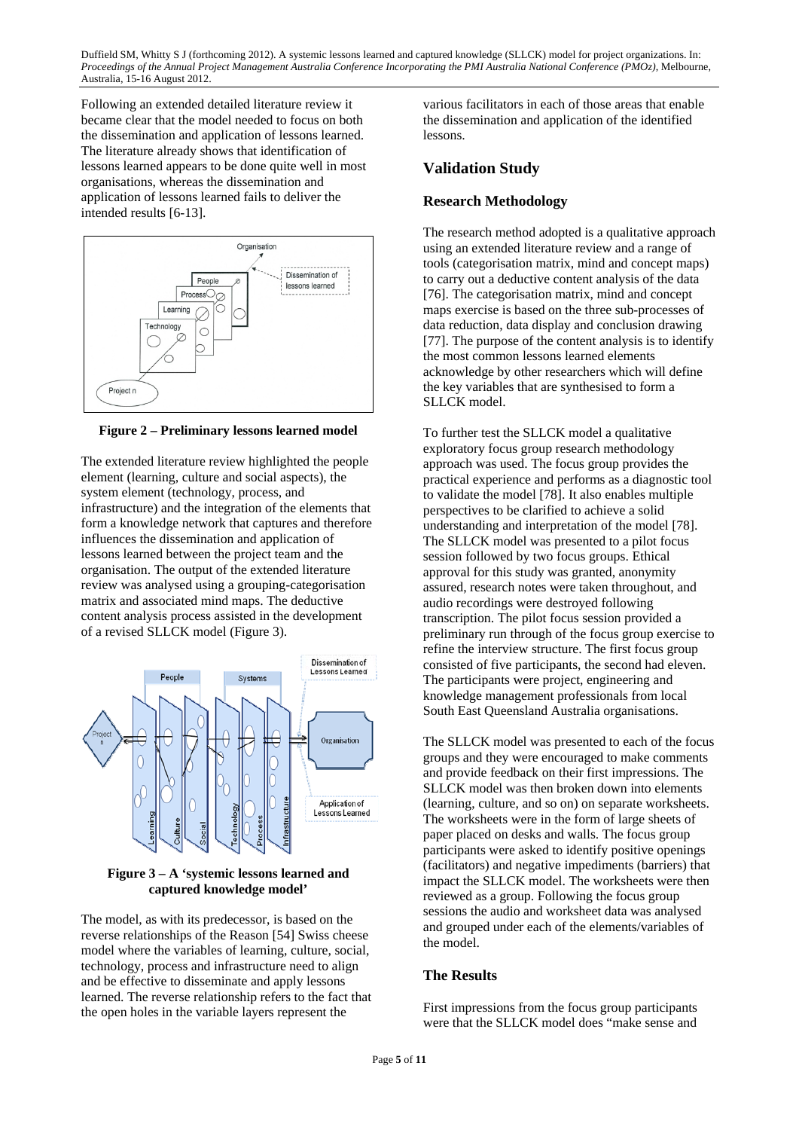Following an extended detailed literature review it became clear that the model needed to focus on both the dissemination and application of lessons learned. The literature already shows that identification of lessons learned appears to be done quite well in most organisations, whereas the dissemination and application of lessons learned fails to deliver the intended results [6-13].



**Figure 2 – Preliminary lessons learned model** 

The extended literature review highlighted the people element (learning, culture and social aspects), the system element (technology, process, and infrastructure) and the integration of the elements that form a knowledge network that captures and therefore influences the dissemination and application of lessons learned between the project team and the organisation. The output of the extended literature review was analysed using a grouping-categorisation matrix and associated mind maps. The deductive content analysis process assisted in the development of a revised SLLCK model (Figure 3).



**Figure 3 – A 'systemic lessons learned and captured knowledge model'** 

The model, as with its predecessor, is based on the reverse relationships of the Reason [54] Swiss cheese model where the variables of learning, culture, social, technology, process and infrastructure need to align and be effective to disseminate and apply lessons learned. The reverse relationship refers to the fact that the open holes in the variable layers represent the

various facilitators in each of those areas that enable the dissemination and application of the identified lessons.

# **Validation Study**

### **Research Methodology**

The research method adopted is a qualitative approach using an extended literature review and a range of tools (categorisation matrix, mind and concept maps) to carry out a deductive content analysis of the data [76]. The categorisation matrix, mind and concept maps exercise is based on the three sub-processes of data reduction, data display and conclusion drawing [77]. The purpose of the content analysis is to identify the most common lessons learned elements acknowledge by other researchers which will define the key variables that are synthesised to form a SLLCK model.

To further test the SLLCK model a qualitative exploratory focus group research methodology approach was used. The focus group provides the practical experience and performs as a diagnostic tool to validate the model [78]. It also enables multiple perspectives to be clarified to achieve a solid understanding and interpretation of the model [78]. The SLLCK model was presented to a pilot focus session followed by two focus groups. Ethical approval for this study was granted, anonymity assured, research notes were taken throughout, and audio recordings were destroyed following transcription. The pilot focus session provided a preliminary run through of the focus group exercise to refine the interview structure. The first focus group consisted of five participants, the second had eleven. The participants were project, engineering and knowledge management professionals from local South East Queensland Australia organisations.

The SLLCK model was presented to each of the focus groups and they were encouraged to make comments and provide feedback on their first impressions. The SLLCK model was then broken down into elements (learning, culture, and so on) on separate worksheets. The worksheets were in the form of large sheets of paper placed on desks and walls. The focus group participants were asked to identify positive openings (facilitators) and negative impediments (barriers) that impact the SLLCK model. The worksheets were then reviewed as a group. Following the focus group sessions the audio and worksheet data was analysed and grouped under each of the elements/variables of the model.

### **The Results**

First impressions from the focus group participants were that the SLLCK model does "make sense and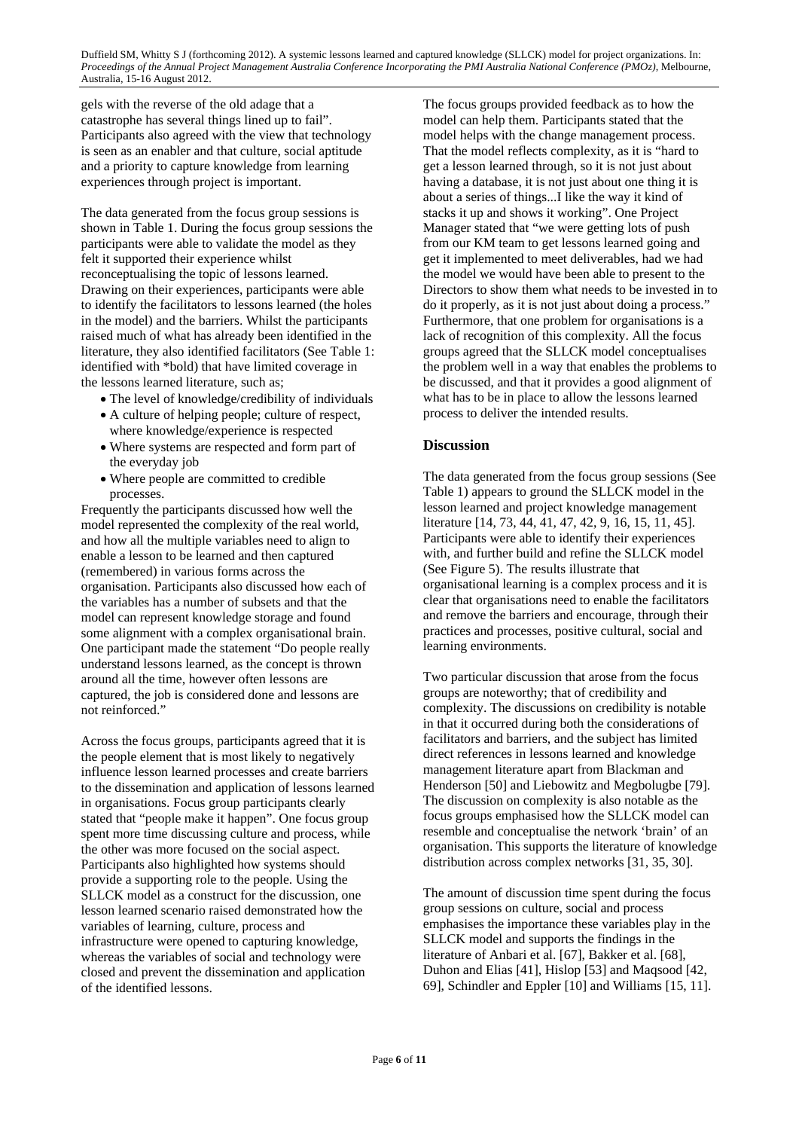gels with the reverse of the old adage that a catastrophe has several things lined up to fail". Participants also agreed with the view that technology is seen as an enabler and that culture, social aptitude and a priority to capture knowledge from learning experiences through project is important.

The data generated from the focus group sessions is shown in Table 1. During the focus group sessions the participants were able to validate the model as they felt it supported their experience whilst reconceptualising the topic of lessons learned. Drawing on their experiences, participants were able to identify the facilitators to lessons learned (the holes in the model) and the barriers. Whilst the participants raised much of what has already been identified in the literature, they also identified facilitators (See Table 1: identified with \*bold) that have limited coverage in the lessons learned literature, such as;

- The level of knowledge/credibility of individuals
- A culture of helping people; culture of respect, where knowledge/experience is respected
- Where systems are respected and form part of the everyday job
- Where people are committed to credible processes.

Frequently the participants discussed how well the model represented the complexity of the real world, and how all the multiple variables need to align to enable a lesson to be learned and then captured (remembered) in various forms across the organisation. Participants also discussed how each of the variables has a number of subsets and that the model can represent knowledge storage and found some alignment with a complex organisational brain. One participant made the statement "Do people really understand lessons learned, as the concept is thrown around all the time, however often lessons are captured, the job is considered done and lessons are not reinforced."

Across the focus groups, participants agreed that it is the people element that is most likely to negatively influence lesson learned processes and create barriers to the dissemination and application of lessons learned in organisations. Focus group participants clearly stated that "people make it happen". One focus group spent more time discussing culture and process, while the other was more focused on the social aspect. Participants also highlighted how systems should provide a supporting role to the people. Using the SLLCK model as a construct for the discussion, one lesson learned scenario raised demonstrated how the variables of learning, culture, process and infrastructure were opened to capturing knowledge, whereas the variables of social and technology were closed and prevent the dissemination and application of the identified lessons.

The focus groups provided feedback as to how the model can help them. Participants stated that the model helps with the change management process. That the model reflects complexity, as it is "hard to get a lesson learned through, so it is not just about having a database, it is not just about one thing it is about a series of things...I like the way it kind of stacks it up and shows it working". One Project Manager stated that "we were getting lots of push from our KM team to get lessons learned going and get it implemented to meet deliverables, had we had the model we would have been able to present to the Directors to show them what needs to be invested in to do it properly, as it is not just about doing a process." Furthermore, that one problem for organisations is a lack of recognition of this complexity. All the focus groups agreed that the SLLCK model conceptualises the problem well in a way that enables the problems to be discussed, and that it provides a good alignment of what has to be in place to allow the lessons learned process to deliver the intended results.

### **Discussion**

The data generated from the focus group sessions (See Table 1) appears to ground the SLLCK model in the lesson learned and project knowledge management literature [14, 73, 44, 41, 47, 42, 9, 16, 15, 11, 45]. Participants were able to identify their experiences with, and further build and refine the SLLCK model (See Figure 5). The results illustrate that organisational learning is a complex process and it is clear that organisations need to enable the facilitators and remove the barriers and encourage, through their practices and processes, positive cultural, social and learning environments.

Two particular discussion that arose from the focus groups are noteworthy; that of credibility and complexity. The discussions on credibility is notable in that it occurred during both the considerations of facilitators and barriers, and the subject has limited direct references in lessons learned and knowledge management literature apart from Blackman and Henderson [50] and Liebowitz and Megbolugbe [79]. The discussion on complexity is also notable as the focus groups emphasised how the SLLCK model can resemble and conceptualise the network 'brain' of an organisation. This supports the literature of knowledge distribution across complex networks [31, 35, 30].

The amount of discussion time spent during the focus group sessions on culture, social and process emphasises the importance these variables play in the SLLCK model and supports the findings in the literature of Anbari et al. [67], Bakker et al. [68], Duhon and Elias [41], Hislop [53] and Maqsood [42, 69], Schindler and Eppler [10] and Williams [15, 11].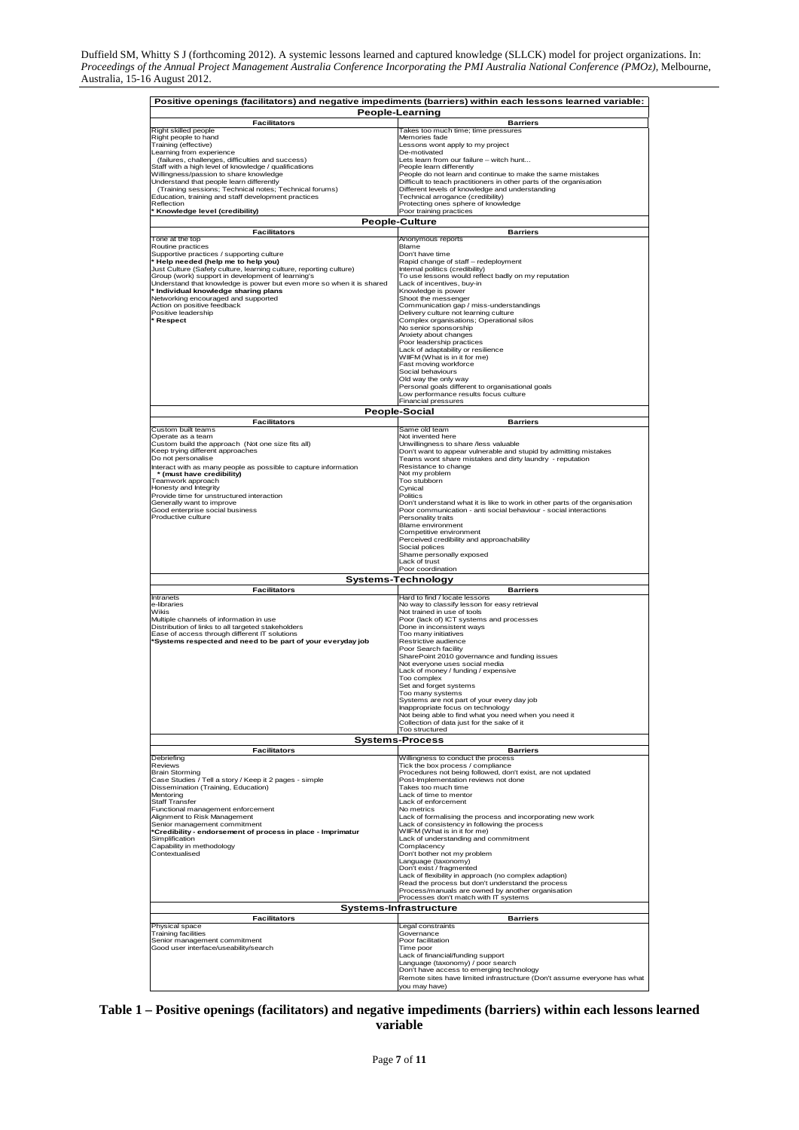| Positive openings (facilitators) and negative impediments (barriers) within each lessons learned variable:<br>People-Learning |                                                                                                                                                 |
|-------------------------------------------------------------------------------------------------------------------------------|-------------------------------------------------------------------------------------------------------------------------------------------------|
| <b>Facilitators</b>                                                                                                           | <b>Barriers</b>                                                                                                                                 |
| Right skilled people                                                                                                          | Takes too much time; time pressures                                                                                                             |
| Right people to hand<br>Training (effective)                                                                                  | Memories fade<br>Lessons wont apply to my project                                                                                               |
| Learning from experience                                                                                                      | De-motivated                                                                                                                                    |
| (failures, challenges, difficulties and success)                                                                              | Lets learn from our failure - witch hunt                                                                                                        |
| Staff with a high level of knowledge / qualifications<br>Willingness/passion to share knowledge                               | People learn differently<br>People do not learn and continue to make the same mistakes                                                          |
| Understand that people learn differently                                                                                      | Difficult to teach practitioners in other parts of the organisation<br>Different levels of knowledge and understanding                          |
| (Training sessions; Technical notes; Technical forums)<br>Education, training and staff development practices                 | Technical arrogance (credibility)                                                                                                               |
| Reflection                                                                                                                    | Protecting ones sphere of knowledge                                                                                                             |
| Knowledge level (credibility)                                                                                                 | Poor training practices<br><b>People-Culture</b>                                                                                                |
| <b>Facilitators</b>                                                                                                           | <b>Barriers</b>                                                                                                                                 |
| Tone at the top                                                                                                               | Anonymous reports                                                                                                                               |
| Routine practices<br>Supportive practices / supporting culture                                                                | Blame<br>Don't have time                                                                                                                        |
| Help needed (help me to help you)                                                                                             | Rapid change of staff - redeployment                                                                                                            |
| Just Culture (Safety culture, learning culture, reporting culture)<br>Group (work) support in development of learning's       | Internal politics (credibility)<br>To use lessons would reflect badly on my reputation                                                          |
| Understand that knowledge is power but even more so when it is shared                                                         | Lack of incentives, buy-in                                                                                                                      |
| * Individual knowledge sharing plans<br>Networking encouraged and supported                                                   | Knowledge is power<br>Shoot the messenger                                                                                                       |
| Action on positive feedback                                                                                                   | Communication gap / miss-understandings                                                                                                         |
| Positive leadership<br>* Respect                                                                                              | Delivery culture not learning culture<br>Complex organisations; Operational silos                                                               |
|                                                                                                                               | No senior sponsorship                                                                                                                           |
|                                                                                                                               | Anxiety about changes<br>Poor leadership practices                                                                                              |
|                                                                                                                               | Lack of adaptability or resilience                                                                                                              |
|                                                                                                                               | WIIFM (What is in it for me)<br>Fast moving workforce                                                                                           |
|                                                                                                                               | Social behaviours                                                                                                                               |
|                                                                                                                               | Old way the only way<br>Personal goals different to organisational goals                                                                        |
|                                                                                                                               | Low performance results focus culture                                                                                                           |
|                                                                                                                               | <b>Financial pressures</b>                                                                                                                      |
| <b>Facilitators</b>                                                                                                           | <b>People-Social</b><br><b>Barriers</b>                                                                                                         |
| Custom built teams<br>Operate as a team                                                                                       | Same old team                                                                                                                                   |
| Custom build the approach (Not one size fits all)                                                                             | Not invented here<br>Unwillingness to share /less valuable                                                                                      |
| Keep trying different approaches                                                                                              | Don't want to appear vulnerable and stupid by admitting mistakes                                                                                |
| Do not personalise<br>Interact with as many people as possible to capture information                                         | Teams wont share mistakes and dirty laundry - reputation<br>Resistance to change                                                                |
| * (must have credibility)                                                                                                     | Not my problem                                                                                                                                  |
| Teamwork approach<br>Honesty and Integrity                                                                                    | Too stubborn<br>Cynical                                                                                                                         |
| Provide time for unstructured interaction                                                                                     | Politics                                                                                                                                        |
| Generally want to improve<br>Good enterprise social business                                                                  | Don't understand what it is like to work in other parts of the organisation<br>Poor communication - anti social behaviour - social interactions |
| Productive culture                                                                                                            | Personality traits                                                                                                                              |
|                                                                                                                               | Blame environment<br>Competitive environment                                                                                                    |
|                                                                                                                               | Perceived credibility and approachability                                                                                                       |
|                                                                                                                               | Social polices<br>Shame personally exposed                                                                                                      |
|                                                                                                                               | Lack of trust                                                                                                                                   |
|                                                                                                                               | Poor coordination<br>Systems-Technology                                                                                                         |
| <b>Facilitators</b>                                                                                                           | <b>Barriers</b>                                                                                                                                 |
| Intranets                                                                                                                     | Hard to find / locate lessons                                                                                                                   |
| e-libraries<br>Wikis                                                                                                          | No way to classify lesson for easy retrieval<br>Not trained in use of tools                                                                     |
| Multiple channels of information in use<br>Distribution of links to all targeted stakeholders                                 | Poor (lack of) ICT systems and processes                                                                                                        |
| Ease of access through different IT solutions                                                                                 | Done in inconsistent ways<br>Too many initiatives                                                                                               |
| Systems respected and need to be part of your everyday job                                                                    | Restrictive audience<br>Poor Search facility                                                                                                    |
|                                                                                                                               | SharePoint 2010 governance and funding issues                                                                                                   |
|                                                                                                                               | Not everyone uses social media                                                                                                                  |
|                                                                                                                               | Lack of money / funding / expensive<br>Too complex                                                                                              |
|                                                                                                                               | Set and forget systems<br>Too many systems                                                                                                      |
|                                                                                                                               | Systems are not part of your every day job                                                                                                      |
|                                                                                                                               | Inappropriate focus on technology<br>Not being able to find what you need when you need it                                                      |
|                                                                                                                               | Collection of data just for the sake of it                                                                                                      |
|                                                                                                                               | Too structured                                                                                                                                  |
| <b>Facilitators</b>                                                                                                           | <b>Systems-Process</b><br><b>Barriers</b>                                                                                                       |
| Debriefing                                                                                                                    | Willingness to conduct the process                                                                                                              |
| Reviews<br><b>Brain Storming</b>                                                                                              | Tick the box process / compliance<br>Procedures not being followed, don't exist, are not updated                                                |
| Case Studies / Tell a story / Keep it 2 pages - simple                                                                        | Post-Implementation reviews not done                                                                                                            |
| Dissemination (Training, Education)<br>Mentoring                                                                              | Takes too much time<br>Lack of time to mentor                                                                                                   |
| <b>Staff Transfer</b>                                                                                                         | Lack of enforcement                                                                                                                             |
| Functional management enforcement<br>Alignment to Risk Management                                                             | No metrics<br>Lack of formalising the process and incorporating new work                                                                        |
| Senior management commitment                                                                                                  | Lack of consistency in following the process                                                                                                    |
| *Credibility - endorsement of process in place - Imprimatur<br>Simplification                                                 | WIIFM (What is in it for me)<br>Lack of understanding and commitment                                                                            |
| Capability in methodology                                                                                                     | Complacency                                                                                                                                     |
| Contextualised                                                                                                                | Don't bother not my problem<br>Language (taxonomy)                                                                                              |
|                                                                                                                               | Don't exist / fragmented                                                                                                                        |
|                                                                                                                               | Lack of flexibility in approach (no complex adaption)<br>Read the process but don't understand the process                                      |
|                                                                                                                               | Process/manuals are owned by another organisation                                                                                               |
|                                                                                                                               | Processes don't match with IT systems                                                                                                           |
| Systems-Infrastructure<br><b>Facilitators</b><br><b>Barriers</b>                                                              |                                                                                                                                                 |
| Physical space                                                                                                                | Legal constraints                                                                                                                               |
| <b>Training facilities</b><br>Senior management commitment                                                                    | Governance<br>Poor facilitation                                                                                                                 |
| Good user interface/useability/search                                                                                         | Time poor                                                                                                                                       |
|                                                                                                                               | Lack of financial/funding support<br>Language (taxonomy) / poor search                                                                          |
|                                                                                                                               | Don't have access to emerging technology                                                                                                        |
|                                                                                                                               | Remote sites have limited infrastructure (Don't assume everyone has what<br>you may have)                                                       |
|                                                                                                                               |                                                                                                                                                 |

#### **Table 1 – Positive openings (facilitators) and negative impediments (barriers) within each lessons learned variable**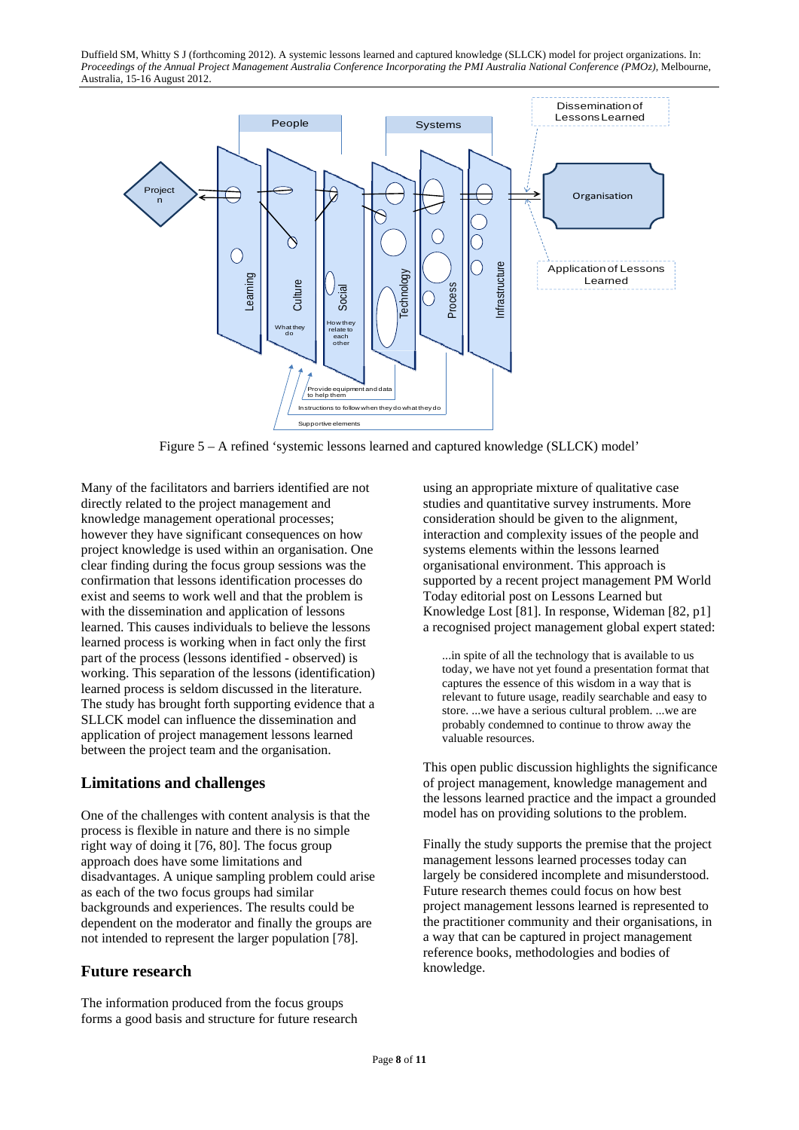

Figure 5 – A refined 'systemic lessons learned and captured knowledge (SLLCK) model'

Many of the facilitators and barriers identified are not directly related to the project management and knowledge management operational processes; however they have significant consequences on how project knowledge is used within an organisation. One clear finding during the focus group sessions was the confirmation that lessons identification processes do exist and seems to work well and that the problem is with the dissemination and application of lessons learned. This causes individuals to believe the lessons learned process is working when in fact only the first part of the process (lessons identified - observed) is working. This separation of the lessons (identification) learned process is seldom discussed in the literature. The study has brought forth supporting evidence that a SLLCK model can influence the dissemination and application of project management lessons learned between the project team and the organisation.

### **Limitations and challenges**

One of the challenges with content analysis is that the process is flexible in nature and there is no simple right way of doing it [76, 80]. The focus group approach does have some limitations and disadvantages. A unique sampling problem could arise as each of the two focus groups had similar backgrounds and experiences. The results could be dependent on the moderator and finally the groups are not intended to represent the larger population [78].

### **Future research**

The information produced from the focus groups forms a good basis and structure for future research using an appropriate mixture of qualitative case studies and quantitative survey instruments. More consideration should be given to the alignment, interaction and complexity issues of the people and systems elements within the lessons learned organisational environment. This approach is supported by a recent project management PM World Today editorial post on Lessons Learned but Knowledge Lost [81]. In response, Wideman [82, p1] a recognised project management global expert stated:

...in spite of all the technology that is available to us today, we have not yet found a presentation format that captures the essence of this wisdom in a way that is relevant to future usage, readily searchable and easy to store. ...we have a serious cultural problem. ...we are probably condemned to continue to throw away the valuable resources.

This open public discussion highlights the significance of project management, knowledge management and the lessons learned practice and the impact a grounded model has on providing solutions to the problem.

Finally the study supports the premise that the project management lessons learned processes today can largely be considered incomplete and misunderstood. Future research themes could focus on how best project management lessons learned is represented to the practitioner community and their organisations, in a way that can be captured in project management reference books, methodologies and bodies of knowledge.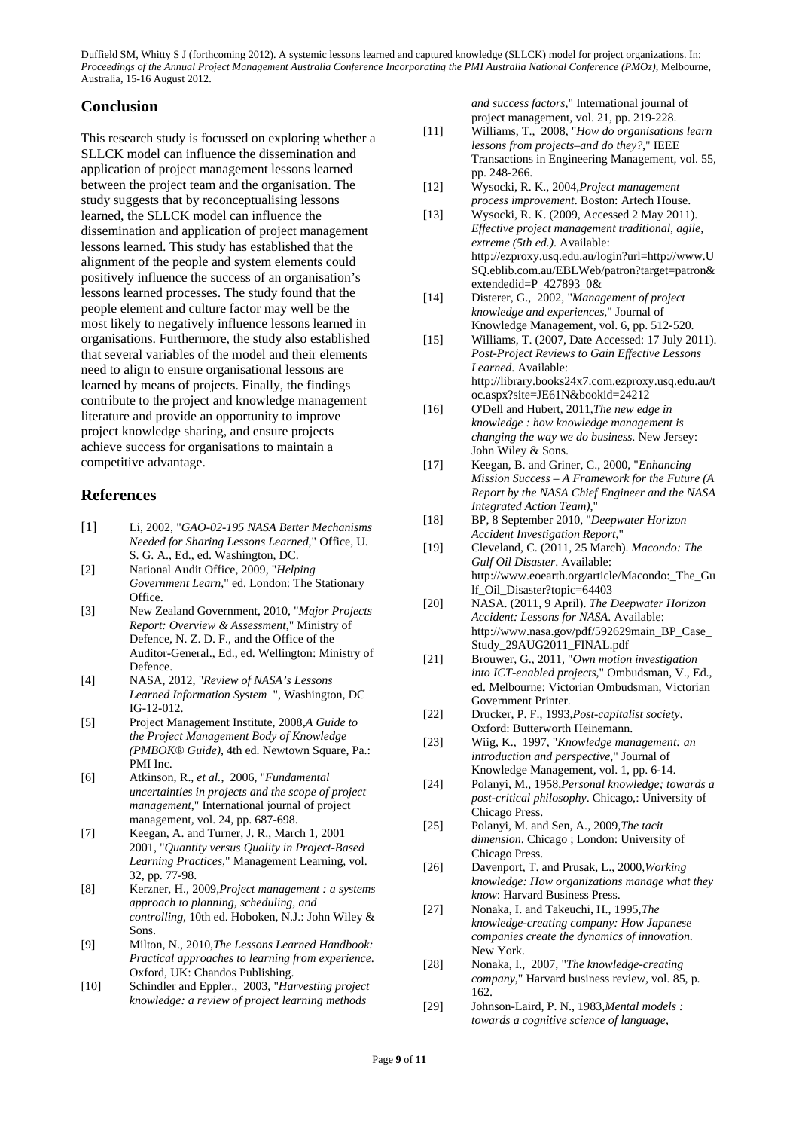## **Conclusion**

This research study is focussed on exploring whether a SLLCK model can influence the dissemination and application of project management lessons learned between the project team and the organisation. The study suggests that by reconceptualising lessons learned, the SLLCK model can influence the dissemination and application of project management lessons learned. This study has established that the alignment of the people and system elements could positively influence the success of an organisation's lessons learned processes. The study found that the people element and culture factor may well be the most likely to negatively influence lessons learned in organisations. Furthermore, the study also established that several variables of the model and their elements need to align to ensure organisational lessons are learned by means of projects. Finally, the findings contribute to the project and knowledge management literature and provide an opportunity to improve project knowledge sharing, and ensure projects achieve success for organisations to maintain a competitive advantage.

# **References**

- [1] Li, 2002, "*GAO-02-195 NASA Better Mechanisms Needed for Sharing Lessons Learned*," Office, U. S. G. A., Ed., ed. Washington, DC.
- [2] National Audit Office, 2009, "*Helping Government Learn*," ed. London: The Stationary Office.
- [3] New Zealand Government, 2010, "*Major Projects Report: Overview & Assessment*," Ministry of Defence, N. Z. D. F., and the Office of the Auditor-General., Ed., ed. Wellington: Ministry of Defence.
- [4] NASA, 2012, "*Review of NASA's Lessons Learned Information System* ", Washington, DC IG-12-012.
- [5] Project Management Institute, 2008,*A Guide to the Project Management Body of Knowledge (PMBOK® Guide)*, 4th ed. Newtown Square, Pa.: PMI Inc.
- [6] Atkinson, R.*, et al.*, 2006, "*Fundamental uncertainties in projects and the scope of project management*," International journal of project management*,* vol. 24, pp. 687-698.
- [7] Keegan, A. and Turner, J. R., March 1, 2001 2001, "*Quantity versus Quality in Project-Based Learning Practices*," Management Learning*,* vol. 32, pp. 77-98.
- [8] Kerzner, H., 2009,*Project management : a systems approach to planning, scheduling, and controlling*, 10th ed. Hoboken, N.J.: John Wiley & Sons.
- [9] Milton, N., 2010,*The Lessons Learned Handbook: Practical approaches to learning from experience*. Oxford, UK: Chandos Publishing.
- [10] Schindler and Eppler., 2003, "*Harvesting project knowledge: a review of project learning methods*

*and success factors*," International journal of project management*,* vol. 21, pp. 219-228.

- [11] Williams, T., 2008, "*How do organisations learn lessons from projects–and do they?*," IEEE Transactions in Engineering Management*,* vol. 55, pp. 248-266.
- [12] Wysocki, R. K., 2004,*Project management process improvement*. Boston: Artech House.
- [13] Wysocki, R. K. (2009, Accessed 2 May 2011). *Effective project management traditional, agile, extreme (5th ed.)*. Available: http://ezproxy.usq.edu.au/login?url=http://www.U SQ.eblib.com.au/EBLWeb/patron?target=patron& extendedid=P\_427893\_0&
- [14] Disterer, G., 2002, "*Management of project knowledge and experiences*," Journal of Knowledge Management*,* vol. 6, pp. 512-520.
- [15] Williams, T. (2007, Date Accessed: 17 July 2011). *Post-Project Reviews to Gain Effective Lessons Learned*. Available: http://library.books24x7.com.ezproxy.usq.edu.au/t oc.aspx?site=JE61N&bookid=24212
- [16] O'Dell and Hubert, 2011,*The new edge in knowledge : how knowledge management is changing the way we do business*. New Jersey: John Wiley & Sons.
- [17] Keegan, B. and Griner, C., 2000, "*Enhancing Mission Success – A Framework for the Future (A Report by the NASA Chief Engineer and the NASA Integrated Action Team)*,"
- [18] BP, 8 September 2010, "*Deepwater Horizon Accident Investigation Report*,"
- [19] Cleveland, C. (2011, 25 March). *Macondo: The Gulf Oil Disaster*. Available: http://www.eoearth.org/article/Macondo:\_The\_Gu lf\_Oil\_Disaster?topic=64403
- [20] NASA. (2011, 9 April). *The Deepwater Horizon Accident: Lessons for NASA*. Available: http://www.nasa.gov/pdf/592629main\_BP\_Case\_ Study\_29AUG2011\_FINAL.pdf
- [21] Brouwer, G., 2011, "*Own motion investigation into ICT-enabled projects*," Ombudsman, V., Ed., ed. Melbourne: Victorian Ombudsman, Victorian Government Printer.
- [22] Drucker, P. F., 1993,*Post-capitalist society*. Oxford: Butterworth Heinemann.
- [23] Wiig, K., 1997, "*Knowledge management: an introduction and perspective*," Journal of Knowledge Management*,* vol. 1, pp. 6-14.
- [24] Polanyi, M., 1958,*Personal knowledge; towards a post-critical philosophy*. Chicago,: University of Chicago Press.
- [25] Polanyi, M. and Sen, A., 2009,*The tacit dimension*. Chicago ; London: University of Chicago Press.
- [26] Davenport, T. and Prusak, L., 2000,*Working knowledge: How organizations manage what they know*: Harvard Business Press.
- [27] Nonaka, I. and Takeuchi, H., 1995,*The knowledge-creating company: How Japanese companies create the dynamics of innovation*. New York.
- [28] Nonaka, I., 2007, "*The knowledge-creating company*," Harvard business review*,* vol. 85, p. 162.
- [29] Johnson-Laird, P. N., 1983,*Mental models : towards a cognitive science of language,*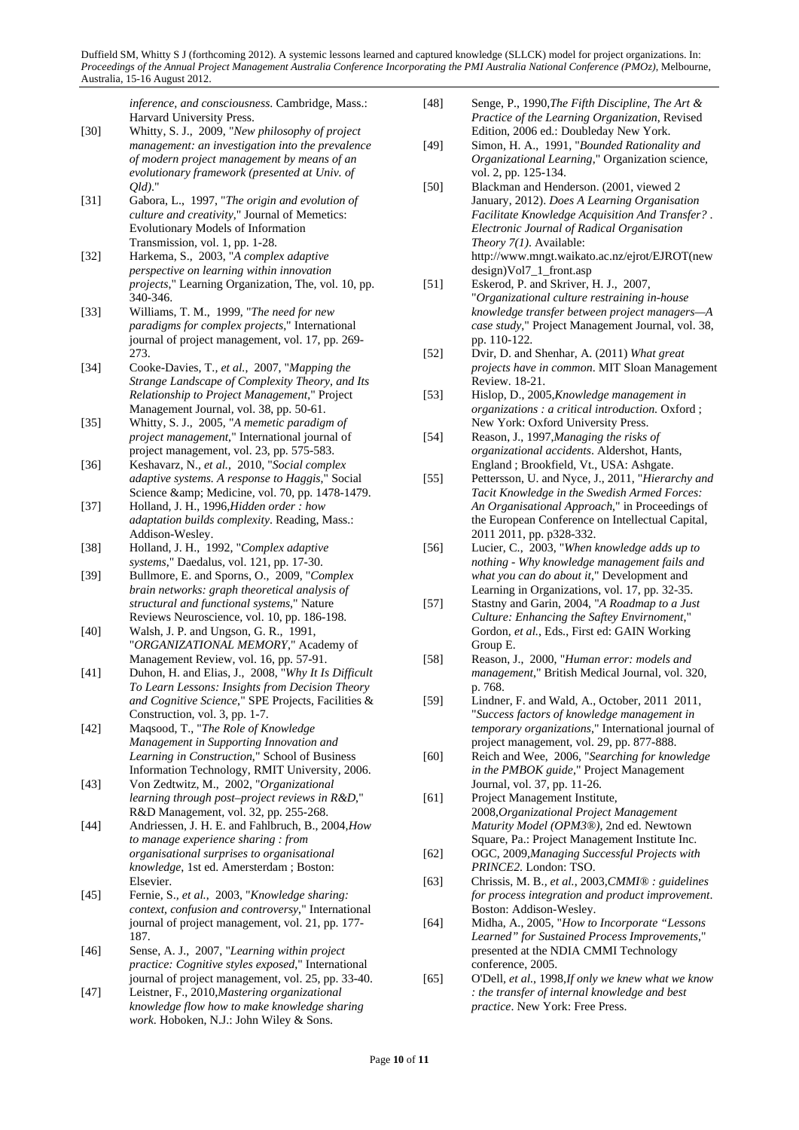*inference, and consciousness*. Cambridge, Mass.: Harvard University Press.

- [30] Whitty, S. J., 2009, "*New philosophy of project management: an investigation into the prevalence of modern project management by means of an evolutionary framework (presented at Univ. of Qld)*."
- [31] Gabora, L., 1997, "*The origin and evolution of culture and creativity*," Journal of Memetics: Evolutionary Models of Information Transmission*,* vol. 1, pp. 1-28.
- [32] Harkema, S., 2003, "*A complex adaptive perspective on learning within innovation projects*," Learning Organization, The*,* vol. 10, pp. 340-346.
- [33] Williams, T. M., 1999, "*The need for new paradigms for complex projects*," International journal of project management*,* vol. 17, pp. 269- 273.
- [34] Cooke-Davies, T.*, et al.*, 2007, "*Mapping the Strange Landscape of Complexity Theory, and Its Relationship to Project Management*," Project Management Journal*,* vol. 38, pp. 50-61.
- [35] Whitty, S. J., 2005, "*A memetic paradigm of project management*," International journal of project management*,* vol. 23, pp. 575-583.
- [36] Keshavarz, N.*, et al.*, 2010, "*Social complex adaptive systems. A response to Haggis*," Social Science & amp; Medicine, vol. 70, pp. 1478-1479.
- [37] Holland, J. H., 1996,*Hidden order : how adaptation builds complexity*. Reading, Mass.: Addison-Wesley.
- [38] Holland, J. H., 1992, "*Complex adaptive systems*," Daedalus*,* vol. 121, pp. 17-30.
- [39] Bullmore, E. and Sporns, O., 2009, "*Complex brain networks: graph theoretical analysis of structural and functional systems*," Nature Reviews Neuroscience*,* vol. 10, pp. 186-198.
- [40] Walsh, J. P. and Ungson, G. R., 1991, "*ORGANIZATIONAL MEMORY*," Academy of Management Review*,* vol. 16, pp. 57-91.
- [41] Duhon, H. and Elias, J., 2008, "*Why It Is Difficult To Learn Lessons: Insights from Decision Theory and Cognitive Science*," SPE Projects, Facilities & Construction*,* vol. 3, pp. 1-7.
- [42] Maqsood, T., "*The Role of Knowledge Management in Supporting Innovation and Learning in Construction*," School of Business Information Technology, RMIT University, 2006.
- [43] Von Zedtwitz, M., 2002, "*Organizational learning through post–project reviews in R&D*," R&D Management*,* vol. 32, pp. 255-268.
- [44] Andriessen, J. H. E. and Fahlbruch, B., 2004,*How to manage experience sharing : from organisational surprises to organisational knowledge*, 1st ed. Amersterdam ; Boston: Elsevier.
- [45] Fernie, S.*, et al.*, 2003, "*Knowledge sharing: context, confusion and controversy*," International journal of project management*,* vol. 21, pp. 177- 187.
- [46] Sense, A. J., 2007, "*Learning within project practice: Cognitive styles exposed*," International journal of project management*,* vol. 25, pp. 33-40.
- [47] Leistner, F., 2010,*Mastering organizational knowledge flow how to make knowledge sharing work*. Hoboken, N.J.: John Wiley & Sons.
- [48] Senge, P., 1990,*The Fifth Discipline, The Art & Practice of the Learning Organization*, Revised Edition, 2006 ed.: Doubleday New York.
- [49] Simon, H. A., 1991, "*Bounded Rationality and Organizational Learning*," Organization science*,*  vol. 2, pp. 125-134.
- [50] Blackman and Henderson. (2001, viewed 2 January, 2012). *Does A Learning Organisation Facilitate Knowledge Acquisition And Transfer?* . *Electronic Journal of Radical Organisation Theory 7(1)*. Available: http://www.mngt.waikato.ac.nz/ejrot/EJROT(new design)Vol7\_1\_front.asp
- [51] Eskerod, P. and Skriver, H. J., 2007, "*Organizational culture restraining in-house knowledge transfer between project managers—A case study*," Project Management Journal*,* vol. 38, pp. 110-122.
- [52] Dvir, D. and Shenhar, A. (2011) *What great projects have in common*. MIT Sloan Management Review. 18-21.
- [53] Hislop, D., 2005,*Knowledge management in organizations : a critical introduction*. Oxford ; New York: Oxford University Press.
- [54] Reason, J., 1997,*Managing the risks of organizational accidents*. Aldershot, Hants, England ; Brookfield, Vt., USA: Ashgate.
- [55] Pettersson, U. and Nyce, J., 2011, "*Hierarchy and Tacit Knowledge in the Swedish Armed Forces: An Organisational Approach*," in Proceedings of the European Conference on Intellectual Capital, 2011 2011, pp. p328-332.
- [56] Lucier, C., 2003, "*When knowledge adds up to nothing - Why knowledge management fails and what you can do about it*," Development and Learning in Organizations*,* vol. 17, pp. 32-35.
- [57] Stastny and Garin, 2004, "*A Roadmap to a Just Culture: Enhancing the Saftey Envirnoment*," Gordon*, et al.*, Eds., First ed: GAIN Working Group E.
- [58] Reason, J., 2000, "*Human error: models and management*," British Medical Journal*,* vol. 320, p. 768.
- [59] Lindner, F. and Wald, A., October, 2011 2011, "*Success factors of knowledge management in temporary organizations*," International journal of project management*,* vol. 29, pp. 877-888.
- [60] Reich and Wee, 2006, "*Searching for knowledge in the PMBOK guide*," Project Management Journal*,* vol. 37, pp. 11-26.
- [61] Project Management Institute, 2008,*Organizational Project Management Maturity Model (OPM3®)*, 2nd ed. Newtown Square, Pa.: Project Management Institute Inc.
- [62] OGC, 2009,*Managing Successful Projects with PRINCE2*. London: TSO.
- [63] Chrissis, M. B.*, et al.*, 2003,*CMMI® : guidelines for process integration and product improvement*. Boston: Addison-Wesley.
- [64] Midha, A., 2005, "*How to Incorporate "Lessons Learned" for Sustained Process Improvements*," presented at the NDIA CMMI Technology conference, 2005.
- [65] O'Dell*, et al.*, 1998,*If only we knew what we know : the transfer of internal knowledge and best practice*. New York: Free Press.